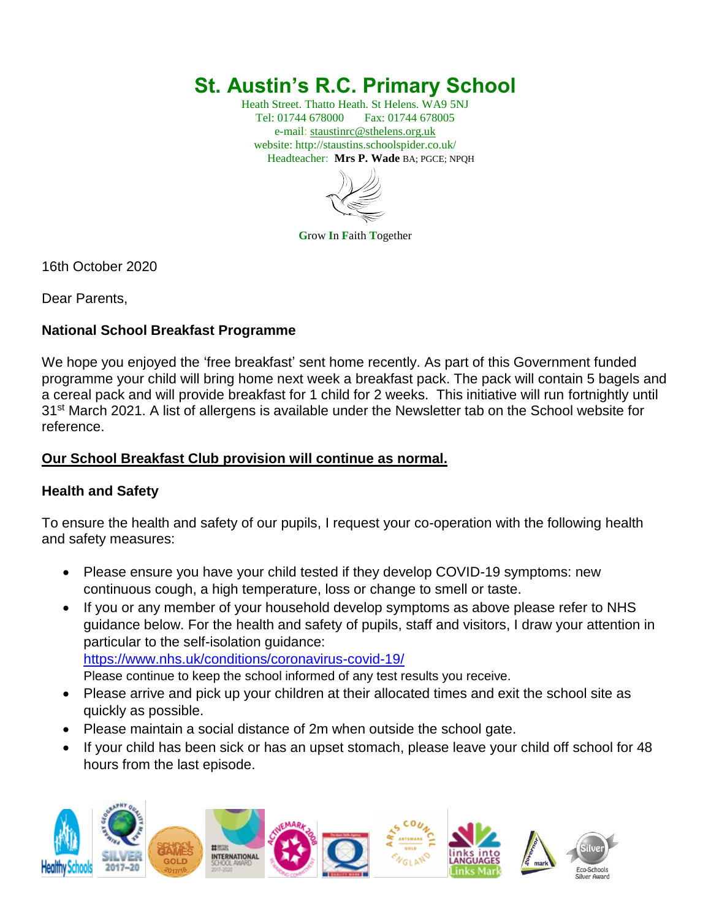# **St. Austin's R.C. Primary School**

Heath Street. Thatto Heath. St Helens. WA9 5NJ Tel: 01744 678000 Fax: 01744 678005 e-mail: [staustinrc@sthelens.org.uk](mailto:staustinrc@sthelens.org.uk) website: http://staustins.schoolspider.co.uk/ Headteacher: **Mrs P. Wade** BA; PGCE; NPQH



**G**row **I**n **F**aith **T**ogether

16th October 2020

Dear Parents,

## **National School Breakfast Programme**

We hope you enjoyed the 'free breakfast' sent home recently. As part of this Government funded programme your child will bring home next week a breakfast pack. The pack will contain 5 bagels and a cereal pack and will provide breakfast for 1 child for 2 weeks. This initiative will run fortnightly until 31<sup>st</sup> March 2021. A list of allergens is available under the Newsletter tab on the School website for reference.

## **Our School Breakfast Club provision will continue as normal.**

#### **Health and Safety**

To ensure the health and safety of our pupils, I request your co-operation with the following health and safety measures:

- Please ensure you have your child tested if they develop COVID-19 symptoms: new continuous cough, a high temperature, loss or change to smell or taste.
- If you or any member of your household develop symptoms as above please refer to NHS guidance below. For the health and safety of pupils, staff and visitors, I draw your attention in particular to the self-isolation guidance: <https://www.nhs.uk/conditions/coronavirus-covid-19/>

Please continue to keep the school informed of any test results you receive.

- Please arrive and pick up your children at their allocated times and exit the school site as quickly as possible.
- Please maintain a social distance of 2m when outside the school gate.
- If your child has been sick or has an upset stomach, please leave your child off school for 48 hours from the last episode.